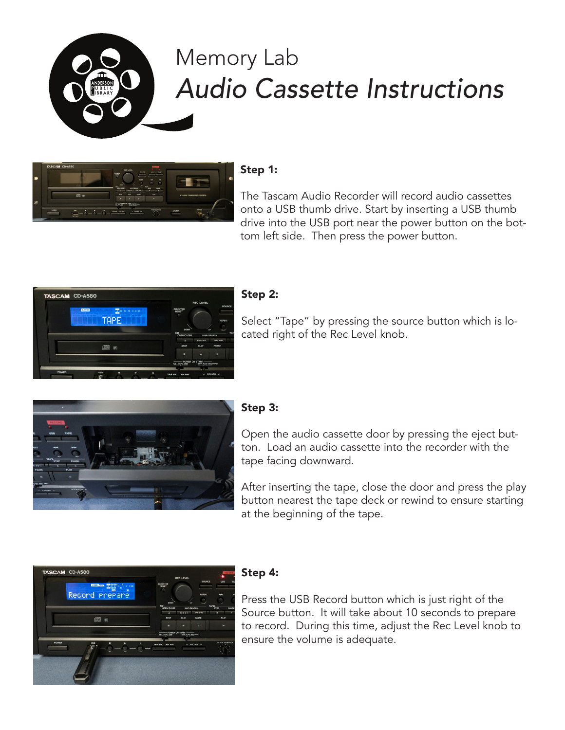

# Memory Lab *Audio Cassette Instructions*



# Step 1:

The Tascam Audio Recorder will record audio cassettes onto a USB thumb drive. Start by inserting a USB thumb drive into the USB port near the power button on the bottom left side. Then press the power button.



#### Step 2:

Select "Tape" by pressing the source button which is located right of the Rec Level knob.



## Step 3:

Open the audio cassette door by pressing the eject button. Load an audio cassette into the recorder with the tape facing downward.

After inserting the tape, close the door and press the play button nearest the tape deck or rewind to ensure starting at the beginning of the tape.



#### Step 4:

Press the USB Record button which is just right of the Source button. It will take about 10 seconds to prepare to record. During this time, adjust the Rec Level knob to ensure the volume is adequate.